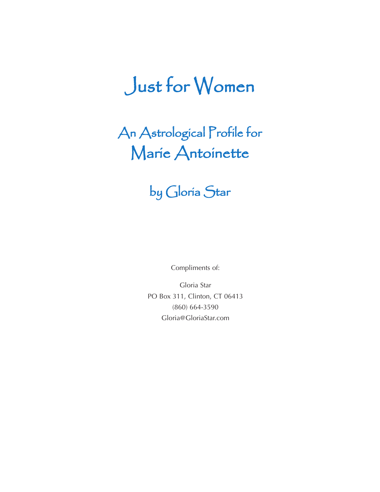# Just for Women

An Astrological Profile for Marie Antoinette

### by Gloria Star

Compliments of:

Gloria Star PO Box 311, Clinton, CT 06413 (860) 664-3590 Gloria@GloriaStar.com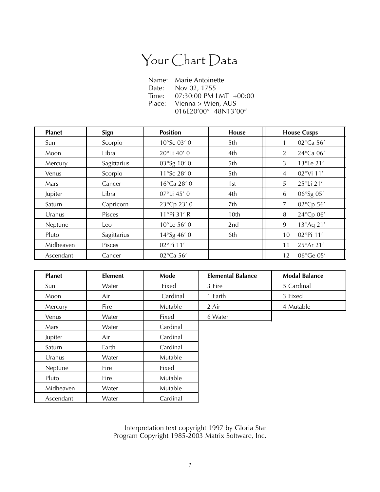## Your Chart Data

| Name:  | Marie Antoinette       |  |  |  |
|--------|------------------------|--|--|--|
| Date:  | Nov 02, 1755           |  |  |  |
| Time:  | 07:30:00 PM LMT +00:00 |  |  |  |
| Place: | Vienna > Wien, AUS     |  |  |  |
|        | 016E20'00" 48N13'00"   |  |  |  |

| <b>Planet</b> | Sign        | <b>Position</b>       | <b>House</b> | <b>House Cusps</b>          |
|---------------|-------------|-----------------------|--------------|-----------------------------|
| Sun           | Scorpio     | 10°Sc 03' 0           | 5th          | 02°Ca 56'                   |
| Moon          | Libra       | 20°Li 40' 0           | 4th          | 24°Ca 06'<br>$\overline{2}$ |
| Mercury       | Sagittarius | 03°Sg 10' 0           | 5th          | 13°Le 21'<br>3              |
| Venus         | Scorpio     | 11°Sc 28' 0           | 5th          | 02°Vi 11'<br>4              |
| Mars          | Cancer      | 16°Ca 28' 0           | 1st          | 25°Li 21'<br>5              |
| Jupiter       | Libra       | 07°Li 45' 0           | 4th          | 06°Sg 05'<br>6              |
| Saturn        | Capricorn   | 23°Cp 23' 0           | 7th          | 02°Cp 56'<br>7              |
| Uranus        | Pisces      | 11°Pi 31' R           | 10th         | 24°Cp 06'<br>8              |
| Neptune       | Leo         | $10^{\circ}$ Le 56' 0 | 2nd          | 13°Aq 21'<br>9              |
| Pluto         | Sagittarius | 14°Sg 46'0            | 6th          | 02°Pi 11'<br>10             |
| Midheaven     | Pisces      | 02°Pi 11'             |              | 25°Ar 21'<br>11             |
| Ascendant     | Cancer      | 02°Ca 56'             |              | 06°Ge 05'<br>12             |

| <b>Planet</b> | <b>Element</b> | Mode     | <b>Elemental Balance</b> | <b>Modal Balance</b> |
|---------------|----------------|----------|--------------------------|----------------------|
| Sun           | Water          | Fixed    | 3 Fire                   | 5 Cardinal           |
| Moon          | Air            | Cardinal | 1 Earth                  | 3 Fixed              |
| Mercury       | Fire           | Mutable  | 2 Air                    | 4 Mutable            |
| Venus         | Water          | Fixed    | 6 Water                  |                      |
| Mars          | Water          | Cardinal |                          |                      |
| Jupiter       | Air            | Cardinal |                          |                      |
| Saturn        | Earth          | Cardinal |                          |                      |
| Uranus        | Water          | Mutable  |                          |                      |
| Neptune       | Fire           | Fixed    |                          |                      |
| Pluto         | Fire           | Mutable  |                          |                      |
| Midheaven     | Water          | Mutable  |                          |                      |
| Ascendant     | Water          | Cardinal |                          |                      |

Interpretation text copyright 1997 by Gloria Star Program Copyright 1985-2003 Matrix Software, Inc.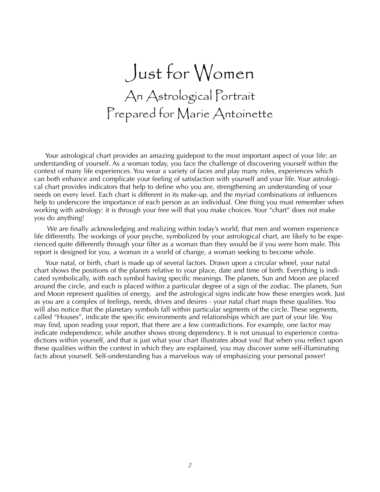# Just for Women An Astrological Portrait Prepared for Marie Antoinette

Your astrological chart provides an amazing guidepost to the most important aspect of your life: an understanding of yourself. As a woman today, you face the challenge of discovering yourself within the context of many life experiences. You wear a variety of faces and play many roles, experiences which can both enhance and complicate your feeling of satisfaction with yourself and your life. Your astrological chart provides indicators that help to define who you are, strengthening an understanding of your needs on every level. Each chart is different in its make-up, and the myriad combinations of influences help to underscore the importance of each person as an individual. One thing you must remember when working with astrology: it is through your free will that you make choices. Your "chart" does not make you do anything!

We are finally acknowledging and realizing within today's world, that men and women experience life differently. The workings of your psyche, symbolized by your astrological chart, are likely to be experienced quite differently through your filter as a woman than they would be if you were born male. This report is designed for you, a woman in a world of change, a woman seeking to become whole.

Your natal, or birth, chart is made up of several factors. Drawn upon a circular wheel, your natal chart shows the positions of the planets relative to your place, date and time of birth. Everything is indicated symbolically, with each symbol having specific meanings. The planets, Sun and Moon are placed around the circle, and each is placed within a particular degree of a sign of the zodiac. The planets, Sun and Moon represent qualities of energy, and the astrological signs indicate how these energies work. Just as you are a complex of feelings, needs, drives and desires - your natal chart maps these qualities. You will also notice that the planetary symbols fall within particular segments of the circle. These segments, called "Houses", indicate the specific environments and relationships which are part of your life. You may find, upon reading your report, that there are a few contradictions. For example, one factor may indicate independence, while another shows strong dependency. It is not unusual to experience contradictions within yourself, and that is just what your chart illustrates about you! But when you reflect upon these qualities within the context in which they are explained, you may discover some self-illuminating facts about yourself. Self-understanding has a marvelous way of emphasizing your personal power!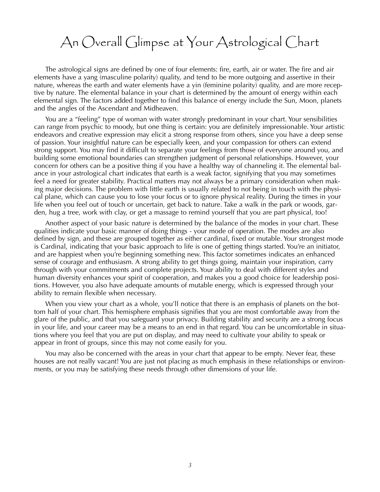#### An Overall Glimpse at Your Astrological Chart

The astrological signs are defined by one of four elements: fire, earth, air or water. The fire and air elements have a yang (masculine polarity) quality, and tend to be more outgoing and assertive in their nature, whereas the earth and water elements have a yin (feminine polarity) quality, and are more receptive by nature. The elemental balance in your chart is determined by the amount of energy within each elemental sign. The factors added together to find this balance of energy include the Sun, Moon, planets and the angles of the Ascendant and Midheaven.

You are a "feeling" type of woman with water strongly predominant in your chart. Your sensibilities can range from psychic to moody, but one thing is certain: you are definitely impressionable. Your artistic endeavors and creative expression may elicit a strong response from others, since you have a deep sense of passion. Your insightful nature can be especially keen, and your compassion for others can extend strong support. You may find it difficult to separate your feelings from those of everyone around you, and building some emotional boundaries can strengthen judgment of personal relationships. However, your concern for others can be a positive thing if you have a healthy way of channeling it. The elemental balance in your astrological chart indicates that earth is a weak factor, signifying that you may sometimes feel a need for greater stability. Practical matters may not always be a primary consideration when making major decisions. The problem with little earth is usually related to not being in touch with the physical plane, which can cause you to lose your focus or to ignore physical reality. During the times in your life when you feel out of touch or uncertain, get back to nature. Take a walk in the park or woods, garden, hug a tree, work with clay, or get a massage to remind yourself that you are part physical, too!

Another aspect of your basic nature is determined by the balance of the modes in your chart. These qualities indicate your basic manner of doing things - your mode of operation. The modes are also defined by sign, and these are grouped together as either cardinal, fixed or mutable. Your strongest mode is Cardinal, indicating that your basic approach to life is one of getting things started. You're an initiator, and are happiest when you're beginning something new. This factor sometimes indicates an enhanced sense of courage and enthusiasm. A strong ability to get things going, maintain your inspiration, carry through with your commitments and complete projects. Your ability to deal with different styles and human diversity enhances your spirit of cooperation, and makes you a good choice for leadership positions. However, you also have adequate amounts of mutable energy, which is expressed through your ability to remain flexible when necessary.

When you view your chart as a whole, you'll notice that there is an emphasis of planets on the bottom half of your chart. This hemisphere emphasis signifies that you are most comfortable away from the glare of the public, and that you safeguard your privacy. Building stability and security are a strong focus in your life, and your career may be a means to an end in that regard. You can be uncomfortable in situations where you feel that you are put on display, and may need to cultivate your ability to speak or appear in front of groups, since this may not come easily for you.

You may also be concerned with the areas in your chart that appear to be empty. Never fear, these houses are not really vacant! You are just not placing as much emphasis in these relationships or environments, or you may be satisfying these needs through other dimensions of your life.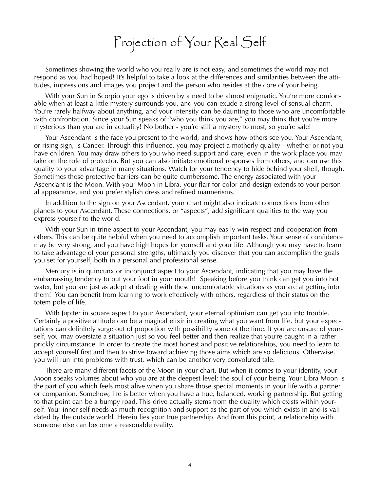# Projection of Your Real Self

Sometimes showing the world who you really are is not easy, and sometimes the world may not respond as you had hoped! It's helpful to take a look at the differences and similarities between the attitudes, impressions and images you project and the person who resides at the core of your being.

With your Sun in Scorpio your ego is driven by a need to be almost enigmatic. You're more comfortable when at least a little mystery surrounds you, and you can exude a strong level of sensual charm. You're rarely halfway about anything, and your intensity can be daunting to those who are uncomfortable with confrontation. Since your Sun speaks of "who you think you are," you may think that you're more mysterious than you are in actuality! No bother - you're still a mystery to most, so you're safe!

Your Ascendant is the face you present to the world, and shows how others see you. Your Ascendant, or rising sign, is Cancer. Through this influence, you may project a motherly quality - whether or not you have children. You may draw others to you who need support and care, even in the work place you may take on the role of protector. But you can also initiate emotional responses from others, and can use this quality to your advantage in many situations. Watch for your tendency to hide behind your shell, though. Sometimes those protective barriers can be quite cumbersome. The energy associated with your Ascendant is the Moon. With your Moon in Libra, your flair for color and design extends to your personal appearance, and you prefer stylish dress and refined mannerisms.

In addition to the sign on your Ascendant, your chart might also indicate connections from other planets to your Ascendant. These connections, or "aspects", add significant qualities to the way you express yourself to the world.

With your Sun in trine aspect to your Ascendant, you may easily win respect and cooperation from others. This can be quite helpful when you need to accomplish important tasks. Your sense of confidence may be very strong, and you have high hopes for yourself and your life. Although you may have to learn to take advantage of your personal strengths, ultimately you discover that you can accomplish the goals you set for yourself, both in a personal and professional sense.

Mercury is in quincunx or inconjunct aspect to your Ascendant, indicating that you may have the embarrassing tendency to put your foot in your mouth! Speaking before you think can get you into hot water, but you are just as adept at dealing with these uncomfortable situations as you are at getting into them! You can benefit from learning to work effectively with others, regardless of their status on the totem pole of life.

With Jupiter in square aspect to your Ascendant, your eternal optimism can get you into trouble. Certainly a positive attitude can be a magical elixir in creating what you want from life, but your expectations can definitely surge out of proportion with possibility some of the time. If you are unsure of yourself, you may overstate a situation just so you feel better and then realize that you're caught in a rather prickly circumstance. In order to create the most honest and positive relationships, you need to learn to accept yourself first and then to strive toward achieving those aims which are so delicious. Otherwise, you will run into problems with trust, which can be another very convoluted tale.

There are many different facets of the Moon in your chart. But when it comes to your identity, your Moon speaks volumes about who you are at the deepest level: the soul of your being. Your Libra Moon is the part of you which feels most alive when you share those special moments in your life with a partner or companion. Somehow, life is better when you have a true, balanced, working partnership. But getting to that point can be a bumpy road. This drive actually stems from the duality which exists within yourself. Your inner self needs as much recognition and support as the part of you which exists in and is validated by the outside world. Herein lies your true partnership. And from this point, a relationship with someone else can become a reasonable reality.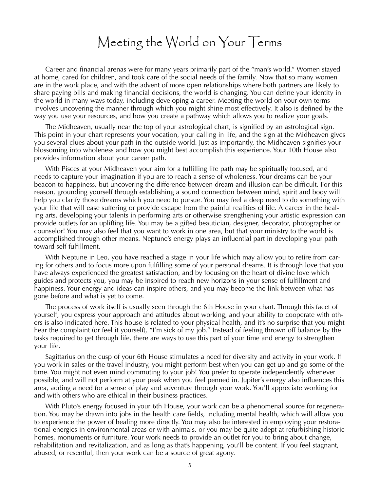#### Meeting the World on Your Terms

Career and financial arenas were for many years primarily part of the "man's world." Women stayed at home, cared for children, and took care of the social needs of the family. Now that so many women are in the work place, and with the advent of more open relationships where both partners are likely to share paying bills and making financial decisions, the world is changing. You can define your identity in the world in many ways today, including developing a career. Meeting the world on your own terms involves uncovering the manner through which you might shine most effectively. It also is defined by the way you use your resources, and how you create a pathway which allows you to realize your goals.

The Midheaven, usually near the top of your astrological chart, is signified by an astrological sign. This point in your chart represents your vocation, your calling in life, and the sign at the Midheaven gives you several clues about your path in the outside world. Just as importantly, the Midheaven signifies your blossoming into wholeness and how you might best accomplish this experience. Your 10th House also provides information about your career path.

With Pisces at your Midheaven your aim for a fulfilling life path may be spiritually focused, and needs to capture your imagination if you are to reach a sense of wholeness. Your dreams can be your beacon to happiness, but uncovering the difference between dream and illusion can be difficult. For this reason, grounding yourself through establishing a sound connection between mind, spirit and body will help you clarify those dreams which you need to pursue. You may feel a deep need to do something with your life that will ease suffering or provide escape from the painful realities of life. A career in the healing arts, developing your talents in performing arts or otherwise strengthening your artistic expression can provide outlets for an uplifting life. You may be a gifted beautician, designer, decorator, photographer or counselor! You may also feel that you want to work in one area, but that your ministry to the world is accomplished through other means. Neptune's energy plays an influential part in developing your path toward self-fulfillment.

With Neptune in Leo, you have reached a stage in your life which may allow you to retire from caring for others and to focus more upon fulfilling some of your personal dreams. It is through love that you have always experienced the greatest satisfaction, and by focusing on the heart of divine love which guides and protects you, you may be inspired to reach new horizons in your sense of fulfillment and happiness. Your energy and ideas can inspire others, and you may become the link between what has gone before and what is yet to come.

The process of work itself is usually seen through the 6th House in your chart. Through this facet of yourself, you express your approach and attitudes about working, and your ability to cooperate with others is also indicated here. This house is related to your physical health, and it's no surprise that you might hear the complaint (or feel it yourself), "I'm sick of my job." Instead of feeling thrown off balance by the tasks required to get through life, there are ways to use this part of your time and energy to strengthen your life.

Sagittarius on the cusp of your 6th House stimulates a need for diversity and activity in your work. If you work in sales or the travel industry, you might perform best when you can get up and go some of the time. You might not even mind commuting to your job! You prefer to operate independently whenever possible, and will not perform at your peak when you feel penned in. Jupiter's energy also influences this area, adding a need for a sense of play and adventure through your work. You'll appreciate working for and with others who are ethical in their business practices.

With Pluto's energy focused in your 6th House, your work can be a phenomenal source for regeneration. You may be drawn into jobs in the health care fields, including mental health, which will allow you to experience the power of healing more directly. You may also be interested in employing your restorational energies in environmental areas or with animals, or you may be quite adept at refurbishing historic homes, monuments or furniture. Your work needs to provide an outlet for you to bring about change, rehabilitation and revitalization, and as long as that's happening, you'll be content. If you feel stagnant, abused, or resentful, then your work can be a source of great agony.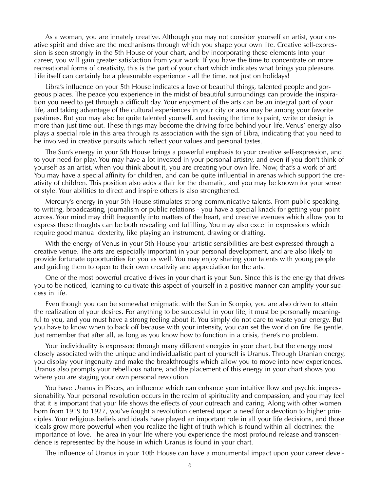As a woman, you are innately creative. Although you may not consider yourself an artist, your creative spirit and drive are the mechanisms through which you shape your own life. Creative self-expression is seen strongly in the 5th House of your chart, and by incorporating these elements into your career, you will gain greater satisfaction from your work. If you have the time to concentrate on more recreational forms of creativity, this is the part of your chart which indicates what brings you pleasure. Life itself can certainly be a pleasurable experience - all the time, not just on holidays!

Libra's influence on your 5th House indicates a love of beautiful things, talented people and gorgeous places. The peace you experience in the midst of beautiful surroundings can provide the inspiration you need to get through a difficult day. Your enjoyment of the arts can be an integral part of your life, and taking advantage of the cultural experiences in your city or area may be among your favorite pastimes. But you may also be quite talented yourself, and having the time to paint, write or design is more than just time out. These things may become the driving force behind your life. Venus' energy also plays a special role in this area through its association with the sign of Libra, indicating that you need to be involved in creative pursuits which reflect your values and personal tastes.

The Sun's energy in your 5th House brings a powerful emphasis to your creative self-expression, and to your need for play. You may have a lot invested in your personal artistry, and even if you don't think of yourself as an artist, when you think about it, you are creating your own life. Now, that's a work of art! You may have a special affinity for children, and can be quite influential in arenas which support the creativity of children. This position also adds a flair for the dramatic, and you may be known for your sense of style. Your abilities to direct and inspire others is also strengthened.

Mercury's energy in your 5th House stimulates strong communicative talents. From public speaking, to writing, broadcasting, journalism or public relations - you have a special knack for getting your point across. Your mind may drift frequently into matters of the heart, and creative avenues which allow you to express these thoughts can be both revealing and fulfilling. You may also excel in expressions which require good manual dexterity, like playing an instrument, drawing or drafting.

With the energy of Venus in your 5th House your artistic sensibilities are best expressed through a creative venue. The arts are especially important in your personal development, and are also likely to provide fortunate opportunities for you as well. You may enjoy sharing your talents with young people and guiding them to open to their own creativity and appreciation for the arts.

One of the most powerful creative drives in your chart is your Sun. Since this is the energy that drives you to be noticed, learning to cultivate this aspect of yourself in a positive manner can amplify your success in life.

Even though you can be somewhat enigmatic with the Sun in Scorpio, you are also driven to attain the realization of your desires. For anything to be successful in your life, it must be personally meaningful to you, and you must have a strong feeling about it. You simply do not care to waste your energy. But you have to know when to back off because with your intensity, you can set the world on fire. Be gentle. Just remember that after all, as long as you know how to function in a crisis, there's no problem.

Your individuality is expressed through many different energies in your chart, but the energy most closely associated with the unique and individualistic part of yourself is Uranus. Through Uranian energy, you display your ingenuity and make the breakthroughs which allow you to move into new experiences. Uranus also prompts your rebellious nature, and the placement of this energy in your chart shows you where you are staging your own personal revolution.

You have Uranus in Pisces, an influence which can enhance your intuitive flow and psychic impressionability. Your personal revolution occurs in the realm of spirituality and compassion, and you may feel that it is important that your life shows the effects of your outreach and caring. Along with other women born from 1919 to 1927, you've fought a revolution centered upon a need for a devotion to higher principles. Your religious beliefs and ideals have played an important role in all your life decisions, and those ideals grow more powerful when you realize the light of truth which is found within all doctrines: the importance of love. The area in your life where you experience the most profound release and transcendence is represented by the house in which Uranus is found in your chart.

The influence of Uranus in your 10th House can have a monumental impact upon your career devel-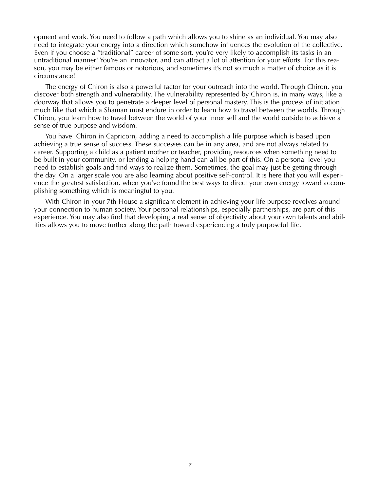opment and work. You need to follow a path which allows you to shine as an individual. You may also need to integrate your energy into a direction which somehow influences the evolution of the collective. Even if you choose a "traditional" career of some sort, you're very likely to accomplish its tasks in an untraditional manner! You're an innovator, and can attract a lot of attention for your efforts. For this reason, you may be either famous or notorious, and sometimes it's not so much a matter of choice as it is circumstance!

The energy of Chiron is also a powerful factor for your outreach into the world. Through Chiron, you discover both strength and vulnerability. The vulnerability represented by Chiron is, in many ways, like a doorway that allows you to penetrate a deeper level of personal mastery. This is the process of initiation much like that which a Shaman must endure in order to learn how to travel between the worlds. Through Chiron, you learn how to travel between the world of your inner self and the world outside to achieve a sense of true purpose and wisdom.

You have Chiron in Capricorn, adding a need to accomplish a life purpose which is based upon achieving a true sense of success. These successes can be in any area, and are not always related to career. Supporting a child as a patient mother or teacher, providing resources when something need to be built in your community, or lending a helping hand can all be part of this. On a personal level you need to establish goals and find ways to realize them. Sometimes, the goal may just be getting through the day. On a larger scale you are also learning about positive self-control. It is here that you will experience the greatest satisfaction, when you've found the best ways to direct your own energy toward accomplishing something which is meaningful to you.

With Chiron in your 7th House a significant element in achieving your life purpose revolves around your connection to human society. Your personal relationships, especially partnerships, are part of this experience. You may also find that developing a real sense of objectivity about your own talents and abilities allows you to move further along the path toward experiencing a truly purposeful life.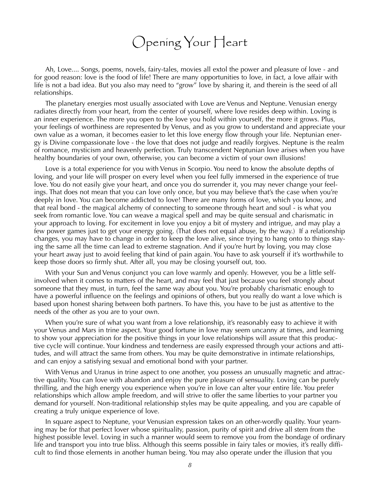#### Opening Your Heart

Ah, Love.... Songs, poems, novels, fairy-tales, movies all extol the power and pleasure of love - and for good reason: love is the food of life! There are many opportunities to love, in fact, a love affair with life is not a bad idea. But you also may need to "grow" love by sharing it, and therein is the seed of all relationships.

The planetary energies most usually associated with Love are Venus and Neptune. Venusian energy radiates directly from your heart, from the center of yourself, where love resides deep within. Loving is an inner experience. The more you open to the love you hold within yourself, the more it grows. Plus, your feelings of worthiness are represented by Venus, and as you grow to understand and appreciate your own value as a woman, it becomes easier to let this love energy flow through your life. Neptunian energy is Divine compassionate love - the love that does not judge and readily forgives. Neptune is the realm of romance, mysticism and heavenly perfection. Truly transcendent Neptunian love arises when you have healthy boundaries of your own, otherwise, you can become a victim of your own illusions!

Love is a total experience for you with Venus in Scorpio. You need to know the absolute depths of loving, and your life will prosper on every level when you feel fully immersed in the experience of true love. You do not easily give your heart, and once you do surrender it, you may never change your feelings. That does not mean that you can love only once, but you may believe that's the case when you're deeply in love. You can become addicted to love! There are many forms of love, which you know, and that real bond - the magical alchemy of connecting to someone through heart and soul - is what you seek from romantic love. You can weave a magical spell and may be quite sensual and charismatic in your approach to loving. For excitement in love you enjoy a bit of mystery and intrigue, and may play a few power games just to get your energy going. (That does not equal abuse, by the way.) If a relationship changes, you may have to change in order to keep the love alive, since trying to hang onto to things staying the same all the time can lead to extreme stagnation. And if you're hurt by loving, you may close your heart away just to avoid feeling that kind of pain again. You have to ask yourself if it's worthwhile to keep those doors so firmly shut. After all, you may be closing yourself out, too.

With your Sun and Venus conjunct you can love warmly and openly. However, you be a little selfinvolved when it comes to matters of the heart, and may feel that just because you feel strongly about someone that they must, in turn, feel the same way about you. You're probably charismatic enough to have a powerful influence on the feelings and opinions of others, but you really do want a love which is based upon honest sharing between both partners. To have this, you have to be just as attentive to the needs of the other as you are to your own.

When you're sure of what you want from a love relationship, it's reasonably easy to achieve it with your Venus and Mars in trine aspect. Your good fortune in love may seem uncanny at times, and learning to show your appreciation for the positive things in your love relationships will assure that this productive cycle will continue. Your kindness and tenderness are easily expressed through your actions and attitudes, and will attract the same from others. You may be quite demonstrative in intimate relationships, and can enjoy a satisfying sexual and emotional bond with your partner.

With Venus and Uranus in trine aspect to one another, you possess an unusually magnetic and attractive quality. You can love with abandon and enjoy the pure pleasure of sensuality. Loving can be purely thrilling, and the high energy you experience when you're in love can alter your entire life. You prefer relationships which allow ample freedom, and will strive to offer the same liberties to your partner you demand for yourself. Non-traditional relationship styles may be quite appealing, and you are capable of creating a truly unique experience of love.

In square aspect to Neptune, your Venusian expression takes on an other-wordly quality. Your yearning may be for that perfect lover whose spirituality, passion, purity of spirit and drive all stem from the highest possible level. Loving in such a manner would seem to remove you from the bondage of ordinary life and transport you into true bliss. Although this seems possible in fairy tales or movies, it's really difficult to find those elements in another human being. You may also operate under the illusion that you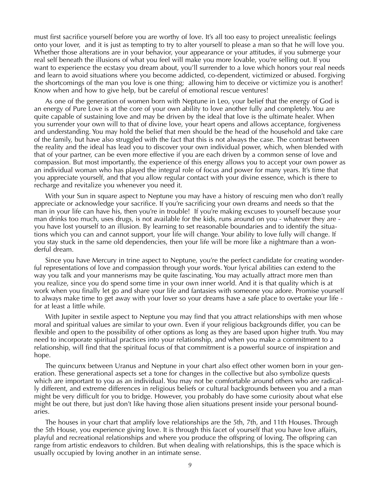must first sacrifice yourself before you are worthy of love. It's all too easy to project unrealistic feelings onto your lover, and it is just as tempting to try to alter yourself to please a man so that he will love you. Whether those alterations are in your behavior, your appearance or your attitudes, if you submerge your real self beneath the illusions of what you feel will make you more lovable, you're selling out. If you want to experience the ecstasy you dream about, you'll surrender to a love which honors your real needs and learn to avoid situations where you become addicted, co-dependent, victimized or abused. Forgiving the shortcomings of the man you love is one thing; allowing him to deceive or victimize you is another! Know when and how to give help, but be careful of emotional rescue ventures!

As one of the generation of women born with Neptune in Leo, your belief that the energy of God is an energy of Pure Love is at the core of your own ability to love another fully and completely. You are quite capable of sustaining love and may be driven by the ideal that love is the ultimate healer. When you surrender your own will to that of divine love, your heart opens and allows acceptance, forgiveness and understanding. You may hold the belief that men should be the head of the household and take care of the family, but have also struggled with the fact that this is not always the case. The contrast between the reality and the ideal has lead you to discover your own individual power, which, when blended with that of your partner, can be even more effective if you are each driven by a common sense of love and compassion. But most importantly, the experience of this energy allows you to accept your own power as an individual woman who has played the integral role of focus and power for many years. It's time that you appreciate yourself, and that you allow regular contact with your divine essence, which is there to recharge and revitalize you whenever you need it.

With your Sun in square aspect to Neptune you may have a history of rescuing men who don't really appreciate or acknowledge your sacrifice. If you're sacrificing your own dreams and needs so that the man in your life can have his, then you're in trouble! If you're making excuses to yourself because your man drinks too much, uses drugs, is not available for the kids, runs around on you - whatever they are you have lost yourself to an illusion. By learning to set reasonable boundaries and to identify the situations which you can and cannot support, your life will change. Your ability to love fully will change. If you stay stuck in the same old dependencies, then your life will be more like a nightmare than a wonderful dream.

Since you have Mercury in trine aspect to Neptune, you're the perfect candidate for creating wonderful representations of love and compassion through your words. Your lyrical abilities can extend to the way you talk and your mannerisms may be quite fascinating. You may actually attract more men than you realize, since you do spend some time in your own inner world. And it is that quality which is at work when you finally let go and share your life and fantasies with someone you adore. Promise yourself to always make time to get away with your lover so your dreams have a safe place to overtake your life for at least a little while.

With Jupiter in sextile aspect to Neptune you may find that you attract relationships with men whose moral and spiritual values are similar to your own. Even if your religious backgrounds differ, you can be flexible and open to the possibility of other options as long as they are based upon higher truth. You may need to incorporate spiritual practices into your relationship, and when you make a commitment to a relationship, will find that the spiritual focus of that commitment is a powerful source of inspiration and hope.

The quincunx between Uranus and Neptune in your chart also effect other women born in your generation. These generational aspects set a tone for changes in the collective but also symbolize quests which are important to you as an individual. You may not be comfortable around others who are radically different, and extreme differences in religious beliefs or cultural backgrounds between you and a man might be very difficult for you to bridge. However, you probably do have some curiosity about what else might be out there, but just don't like having those alien situations present inside your personal boundaries.

The houses in your chart that amplify love relationships are the 5th, 7th, and 11th Houses. Through the 5th House, you experience giving love. It is through this facet of yourself that you have love affairs, playful and recreational relationships and where you produce the offspring of loving. The offspring can range from artistic endeavors to children. But when dealing with relationships, this is the space which is usually occupied by loving another in an intimate sense.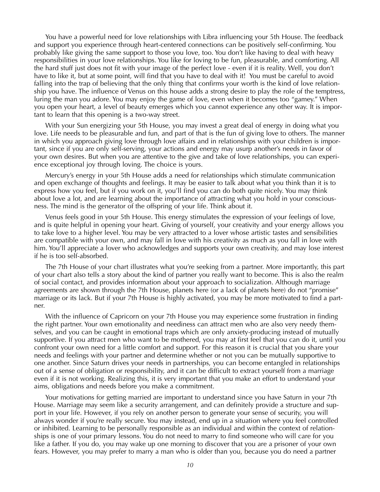You have a powerful need for love relationships with Libra influencing your 5th House. The feedback and support you experience through heart-centered connections can be positively self-confirming. You probably like giving the same support to those you love, too. You don't like having to deal with heavy responsibilities in your love relationships. You like for loving to be fun, pleasurable, and comforting. All the hard stuff just does not fit with your image of the perfect love - even if it is reality. Well, you don't have to like it, but at some point, will find that you have to deal with it! You must be careful to avoid falling into the trap of believing that the only thing that confirms your worth is the kind of love relationship you have. The influence of Venus on this house adds a strong desire to play the role of the temptress, luring the man you adore. You may enjoy the game of love, even when it becomes too "gamey." When you open your heart, a level of beauty emerges which you cannot experience any other way. It is important to learn that this opening is a two-way street.

With your Sun energizing your 5th House, you may invest a great deal of energy in doing what you love. Life needs to be pleasurable and fun, and part of that is the fun of giving love to others. The manner in which you approach giving love through love affairs and in relationships with your children is important, since if you are only self-serving, your actions and energy may usurp another's needs in favor of your own desires. But when you are attentive to the give and take of love relationships, you can experience exceptional joy through loving. The choice is yours.

Mercury's energy in your 5th House adds a need for relationships which stimulate communication and open exchange of thoughts and feelings. It may be easier to talk about what you think than it is to express how you feel, but if you work on it, you'll find you can do both quite nicely. You may think about love a lot, and are learning about the importance of attracting what you hold in your consciousness. The mind is the generator of the offspring of your life. Think about it.

Venus feels good in your 5th House. This energy stimulates the expression of your feelings of love, and is quite helpful in opening your heart. Giving of yourself, your creativity and your energy allows you to take love to a higher level. You may be very attracted to a lover whose artistic tastes and sensibilities are compatible with your own, and may fall in love with his creativity as much as you fall in love with him. You'll appreciate a lover who acknowledges and supports your own creativity, and may lose interest if he is too self-absorbed.

The 7th House of your chart illustrates what you're seeking from a partner. More importantly, this part of your chart also tells a story about the kind of partner you really want to become. This is also the realm of social contact, and provides information about your approach to socialization. Although marriage agreements are shown through the 7th House, planets here (or a lack of planets here) do not "promise" marriage or its lack. But if your 7th House is highly activated, you may be more motivated to find a partner.

With the influence of Capricorn on your 7th House you may experience some frustration in finding the right partner. Your own emotionality and neediness can attract men who are also very needy themselves, and you can be caught in emotional traps which are only anxiety-producing instead of mutually supportive. If you attract men who want to be mothered, you may at first feel that you can do it, until you confront your own need for a little comfort and support. For this reason it is crucial that you share your needs and feelings with your partner and determine whether or not you can be mutually supportive to one another. Since Saturn drives your needs in partnerships, you can become entangled in relationships out of a sense of obligation or responsibility, and it can be difficult to extract yourself from a marriage even if it is not working. Realizing this, it is very important that you make an effort to understand your aims, obligations and needs before you make a commitment.

Your motivations for getting married are important to understand since you have Saturn in your 7th House. Marriage may seem like a security arrangement, and can definitely provide a structure and support in your life. However, if you rely on another person to generate your sense of security, you will always wonder if you're really secure. You may instead, end up in a situation where you feel controlled or inhibited. Learning to be personally responsible as an individual and within the context of relationships is one of your primary lessons. You do not need to marry to find someone who will care for you like a father. If you do, you may wake up one morning to discover that you are a prisoner of your own fears. However, you may prefer to marry a man who is older than you, because you do need a partner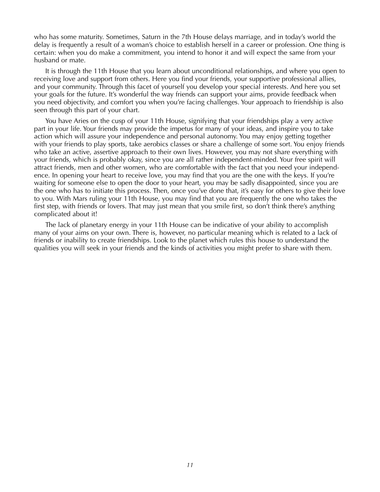who has some maturity. Sometimes, Saturn in the 7th House delays marriage, and in today's world the delay is frequently a result of a woman's choice to establish herself in a career or profession. One thing is certain: when you do make a commitment, you intend to honor it and will expect the same from your husband or mate.

It is through the 11th House that you learn about unconditional relationships, and where you open to receiving love and support from others. Here you find your friends, your supportive professional allies, and your community. Through this facet of yourself you develop your special interests. And here you set your goals for the future. It's wonderful the way friends can support your aims, provide feedback when you need objectivity, and comfort you when you're facing challenges. Your approach to friendship is also seen through this part of your chart.

You have Aries on the cusp of your 11th House, signifying that your friendships play a very active part in your life. Your friends may provide the impetus for many of your ideas, and inspire you to take action which will assure your independence and personal autonomy. You may enjoy getting together with your friends to play sports, take aerobics classes or share a challenge of some sort. You enjoy friends who take an active, assertive approach to their own lives. However, you may not share everything with your friends, which is probably okay, since you are all rather independent-minded. Your free spirit will attract friends, men and other women, who are comfortable with the fact that you need your independence. In opening your heart to receive love, you may find that you are the one with the keys. If you're waiting for someone else to open the door to your heart, you may be sadly disappointed, since you are the one who has to initiate this process. Then, once you've done that, it's easy for others to give their love to you. With Mars ruling your 11th House, you may find that you are frequently the one who takes the first step, with friends or lovers. That may just mean that you smile first, so don't think there's anything complicated about it!

The lack of planetary energy in your 11th House can be indicative of your ability to accomplish many of your aims on your own. There is, however, no particular meaning which is related to a lack of friends or inability to create friendships. Look to the planet which rules this house to understand the qualities you will seek in your friends and the kinds of activities you might prefer to share with them.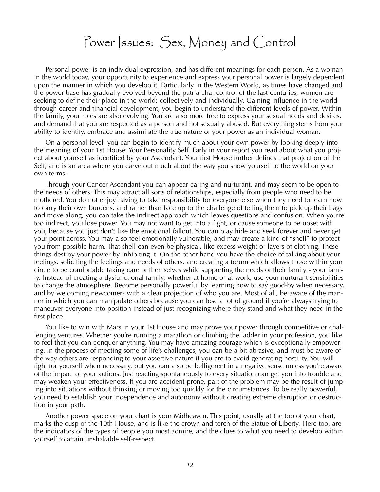#### Power Issues: Sex, Money and Control

Personal power is an individual expression, and has different meanings for each person. As a woman in the world today, your opportunity to experience and express your personal power is largely dependent upon the manner in which you develop it. Particularly in the Western World, as times have changed and the power base has gradually evolved beyond the patriarchal control of the last centuries, women are seeking to define their place in the world: collectively and individually. Gaining influence in the world through career and financial development, you begin to understand the different levels of power. Within the family, your roles are also evolving. You are also more free to express your sexual needs and desires, and demand that you are respected as a person and not sexually abused. But everything stems from your ability to identify, embrace and assimilate the true nature of your power as an individual woman.

On a personal level, you can begin to identify much about your own power by looking deeply into the meaning of your 1st House: Your Personality Self. Early in your report you read about what you project about yourself as identified by your Ascendant. Your first House further defines that projection of the Self, and is an area where you carve out much about the way you show yourself to the world on your own terms.

Through your Cancer Ascendant you can appear caring and nurturant, and may seem to be open to the needs of others. This may attract all sorts of relationships, especially from people who need to be mothered. You do not enjoy having to take responsibility for everyone else when they need to learn how to carry their own burdens, and rather than face up to the challenge of telling them to pick up their bags and move along, you can take the indirect approach which leaves questions and confusion. When you're too indirect, you lose power. You may not want to get into a fight, or cause someone to be upset with you, because you just don't like the emotional fallout. You can play hide and seek forever and never get your point across. You may also feel emotionally vulnerable, and may create a kind of "shell" to protect you from possible harm. That shell can even be physical, like excess weight or layers of clothing. These things destroy your power by inhibiting it. On the other hand you have the choice of talking about your feelings, soliciting the feelings and needs of others, and creating a forum which allows those within your circle to be comfortable taking care of themselves while supporting the needs of their family - your family. Instead of creating a dysfunctional family, whether at home or at work, use your nurturant sensibilities to change the atmosphere. Become personally powerful by learning how to say good-by when necessary, and by welcoming newcomers with a clear projection of who you are. Most of all, be aware of the manner in which you can manipulate others because you can lose a lot of ground if you're always trying to maneuver everyone into position instead of just recognizing where they stand and what they need in the first place.

You like to win with Mars in your 1st House and may prove your power through competitive or challenging ventures. Whether you're running a marathon or climbing the ladder in your profession, you like to feel that you can conquer anything. You may have amazing courage which is exceptionally empowering. In the process of meeting some of life's challenges, you can be a bit abrasive, and must be aware of the way others are responding to your assertive nature if you are to avoid generating hostility. You will fight for yourself when necessary, but you can also be belligerent in a negative sense unless you're aware of the impact of your actions. Just reacting spontaneously to every situation can get you into trouble and may weaken your effectiveness. If you are accident-prone, part of the problem may be the result of jumping into situations without thinking or moving too quickly for the circumstances. To be really powerful, you need to establish your independence and autonomy without creating extreme disruption or destruction in your path.

Another power space on your chart is your Midheaven. This point, usually at the top of your chart, marks the cusp of the 10th House, and is like the crown and torch of the Statue of Liberty. Here too, are the indicators of the types of people you most admire, and the clues to what you need to develop within yourself to attain unshakable self-respect.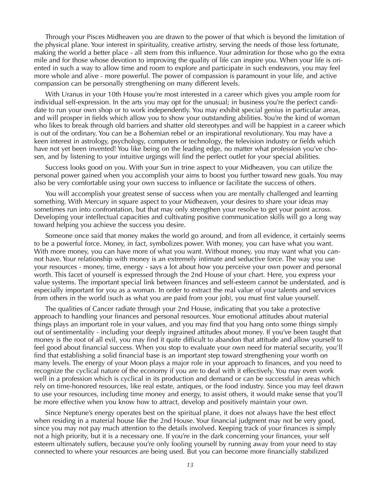Through your Pisces Midheaven you are drawn to the power of that which is beyond the limitation of the physical plane. Your interest in spirituality, creative artistry, serving the needs of those less fortunate, making the world a better place - all stem from this influence. Your admiration for those who go the extra mile and for those whose devotion to improving the quality of life can inspire you. When your life is oriented in such a way to allow time and room to explore and participate in such endeavors, you may feel more whole and alive - more powerful. The power of compassion is paramount in your life, and active compassion can be personally strengthening on many different levels.

With Uranus in your 10th House you're most interested in a career which gives you ample room for individual self-expression. In the arts you may opt for the unusual; in business you're the perfect candidate to run your own shop or to work independently. You may exhibit special genius in particular areas, and will prosper in fields which allow you to show your outstanding abilities. You're the kind of woman who likes to break through old barriers and shatter old stereotypes and will be happiest in a career which is out of the ordinary. You can be a Bohemian rebel or an inspirational revolutionary. You may have a keen interest in astrology, psychology, computers or technology, the television industry or fields which have not yet been invented! You like being on the leading edge, no matter what profession you've chosen, and by listening to your intuitive urgings will find the perfect outlet for your special abilities.

Success looks good on you. With your Sun in trine aspect to your Midheaven, you can utilize the personal power gained when you accomplish your aims to boost you further toward new goals. You may also be very comfortable using your own success to influence or facilitate the success of others.

You will accomplish your greatest sense of success when you are mentally challenged and learning something. With Mercury in square aspect to your Midheaven, your desires to share your ideas may sometimes run into confrontation, but that may only strengthen your resolve to get your point across. Developing your intellectual capacities and cultivating positive communication skills will go a long way toward helping you achieve the success you desire.

Someone once said that money makes the world go around, and from all evidence, it certainly seems to be a powerful force. Money, in fact, symbolizes power. With money, you can have what you want. With more money, you can have more of what you want. Without money, you may want what you cannot have. Your relationship with money is an extremely intimate and seductive force. The way you use your resources - money, time, energy - says a lot about how you perceive your own power and personal worth. This facet of yourself is expressed through the 2nd House of your chart. Here, you express your value systems. The important special link between finances and self-esteem cannot be understated, and is especially important for you as a woman. In order to extract the real value of your talents and services from others in the world (such as what you are paid from your job), you must first value yourself.

The qualities of Cancer radiate through your 2nd House, indicating that you take a protective approach to handling your finances and personal resources. Your emotional attitudes about material things plays an important role in your values, and you may find that you hang onto some things simply out of sentimentality - including your deeply ingrained attitudes about money. If you've been taught that money is the root of all evil, you may find it quite difficult to abandon that attitude and allow yourself to feel good about financial success. When you stop to evaluate your own need for material security, you'll find that establishing a solid financial base is an important step toward strengthening your worth on many levels. The energy of your Moon plays a major role in your approach to finances, and you need to recognize the cyclical nature of the economy if you are to deal with it effectively. You may even work well in a profession which is cyclical in its production and demand or can be successful in areas which rely on time-honored resources, like real estate, antiques, or the food industry. Since you may feel drawn to use your resources, including time money and energy, to assist others, it would make sense that you'll be more effective when you know how to attract, develop and positively maintain your own.

Since Neptune's energy operates best on the spiritual plane, it does not always have the best effect when residing in a material house like the 2nd House. Your financial judgment may not be very good, since you may not pay much attention to the details involved. Keeping track of your finances is simply not a high priority, but it is a necessary one. If you're in the dark concerning your finances, your self esteem ultimately suffers, because you're only fooling yourself by running away from your need to stay connected to where your resources are being used. But you can become more financially stabilized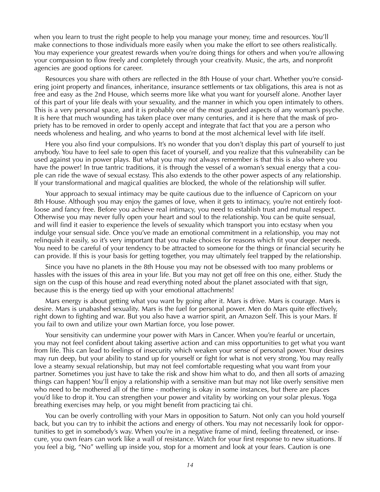when you learn to trust the right people to help you manage your money, time and resources. You'll make connections to those individuals more easily when you make the effort to see others realistically. You may experience your greatest rewards when you're doing things for others and when you're allowing your compassion to flow freely and completely through your creativity. Music, the arts, and nonprofit agencies are good options for career.

Resources you share with others are reflected in the 8th House of your chart. Whether you're considering joint property and finances, inheritance, insurance settlements or tax obligations, this area is not as free and easy as the 2nd House, which seems more like what you want for yourself alone. Another layer of this part of your life deals with your sexuality, and the manner in which you open intimately to others. This is a very personal space, and it is probably one of the most guarded aspects of any woman's psyche. It is here that much wounding has taken place over many centuries, and it is here that the mask of propriety has to be removed in order to openly accept and integrate that fact that you are a person who needs wholeness and healing, and who yearns to bond at the most alchemical level with life itself.

Here you also find your compulsions. It's no wonder that you don't display this part of yourself to just anybody. You have to feel safe to open this facet of yourself, and you realize that this vulnerability can be used against you in power plays. But what you may not always remember is that this is also where you have the power! In true tantric traditions, it is through the vessel of a woman's sexual energy that a couple can ride the wave of sexual ecstasy. This also extends to the other power aspects of any relationship. If your transformational and magical qualities are blocked, the whole of the relationship will suffer.

Your approach to sexual intimacy may be quite cautious due to the influence of Capricorn on your 8th House. Although you may enjoy the games of love, when it gets to intimacy, you're not entirely footloose and fancy free. Before you achieve real intimacy, you need to establish trust and mutual respect. Otherwise you may never fully open your heart and soul to the relationship. You can be quite sensual, and will find it easier to experience the levels of sexuality which transport you into ecstasy when you indulge your sensual side. Once you've made an emotional commitment in a relationship, you may not relinquish it easily, so it's very important that you make choices for reasons which fit your deeper needs. You need to be careful of your tendency to be attracted to someone for the things or financial security he can provide. If this is your basis for getting together, you may ultimately feel trapped by the relationship.

Since you have no planets in the 8th House you may not be obsessed with too many problems or hassles with the issues of this area in your life. But you may not get off free on this one, either. Study the sign on the cusp of this house and read everything noted about the planet associated with that sign, because this is the energy tied up with your emotional attachments!

Mars energy is about getting what you want by going after it. Mars is drive. Mars is courage. Mars is desire. Mars is unabashed sexuality. Mars is the fuel for personal power. Men do Mars quite effectively, right down to fighting and war. But you also have a warrior spirit, an Amazon Self. This is your Mars. If you fail to own and utilize your own Martian force, you lose power.

Your sensitivity can undermine your power with Mars in Cancer. When you're fearful or uncertain, you may not feel confident about taking assertive action and can miss opportunities to get what you want from life. This can lead to feelings of insecurity which weaken your sense of personal power. Your desires may run deep, but your ability to stand up for yourself or fight for what is not very strong. You may really love a steamy sexual relationship, but may not feel comfortable requesting what you want from your partner. Sometimes you just have to take the risk and show him what to do, and then all sorts of amazing things can happen! You'll enjoy a relationship with a sensitive man but may not like overly sensitive men who need to be mothered all of the time - mothering is okay in some instances, but there are places you'd like to drop it. You can strengthen your power and vitality by working on your solar plexus. Yoga breathing exercises may help, or you might benefit from practicing tai chi.

You can be overly controlling with your Mars in opposition to Saturn. Not only can you hold yourself back, but you can try to inhibit the actions and energy of others. You may not necessarily look for opportunities to get in somebody's way. When you're in a negative frame of mind, feeling threatened, or insecure, you own fears can work like a wall of resistance. Watch for your first response to new situations. If you feel a big, "No" welling up inside you, stop for a moment and look at your fears. Caution is one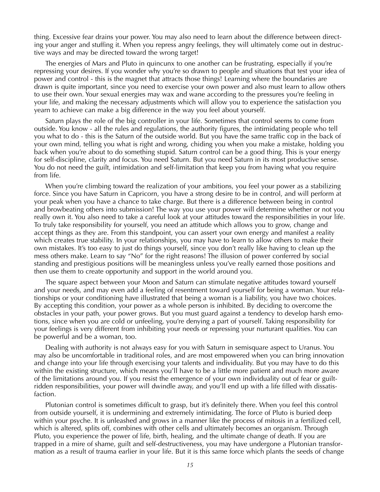thing. Excessive fear drains your power. You may also need to learn about the difference between directing your anger and stuffing it. When you repress angry feelings, they will ultimately come out in destructive ways and may be directed toward the wrong target!

The energies of Mars and Pluto in quincunx to one another can be frustrating, especially if you're repressing your desires. If you wonder why you're so drawn to people and situations that test your idea of power and control - this is the magnet that attracts those things! Learning where the boundaries are drawn is quite important, since you need to exercise your own power and also must learn to allow others to use their own. Your sexual energies may wax and wane according to the pressures you're feeling in your life, and making the necessary adjustments which will allow you to experience the satisfaction you yearn to achieve can make a big difference in the way you feel about yourself.

Saturn plays the role of the big controller in your life. Sometimes that control seems to come from outside. You know - all the rules and regulations, the authority figures, the intimidating people who tell you what to do - this is the Saturn of the outside world. But you have the same traffic cop in the back of your own mind, telling you what is right and wrong, chiding you when you make a mistake, holding you back when you're about to do something stupid. Saturn control can be a good thing. This is your energy for self-discipline, clarity and focus. You need Saturn. But you need Saturn in its most productive sense. You do not need the guilt, intimidation and self-limitation that keep you from having what you require from life.

When you're climbing toward the realization of your ambitions, you feel your power as a stabilizing force. Since you have Saturn in Capricorn, you have a strong desire to be in control, and will perform at your peak when you have a chance to take charge. But there is a difference between being in control and browbeating others into submission! The way you use your power will determine whether or not you really own it. You also need to take a careful look at your attitudes toward the responsibilities in your life. To truly take responsibility for yourself, you need an attitude which allows you to grow, change and accept things as they are. From this standpoint, you can assert your own energy and manifest a reality which creates true stability. In your relationships, you may have to learn to allow others to make their own mistakes. It's too easy to just do things yourself, since you don't really like having to clean up the mess others make. Learn to say "No" for the right reasons! The illusion of power conferred by social standing and prestigious positions will be meaningless unless you've really earned those positions and then use them to create opportunity and support in the world around you.

The square aspect between your Moon and Saturn can stimulate negative attitudes toward yourself and your needs, and may even add a feeling of resentment toward yourself for being a woman. Your relationships or your conditioning have illustrated that being a woman is a liability, you have two choices. By accepting this condition, your power as a whole person is inhibited. By deciding to overcome the obstacles in your path, your power grows. But you must guard against a tendency to develop harsh emotions, since when you are cold or unfeeling, you're denying a part of yourself. Taking responsibility for your feelings is very different from inhibiting your needs or repressing your nurturant qualities. You can be powerful and be a woman, too.

Dealing with authority is not always easy for you with Saturn in semisquare aspect to Uranus. You may also be uncomfortable in traditional roles, and are most empowered when you can bring innovation and change into your life through exercising your talents and individuality. But you may have to do this within the existing structure, which means you'll have to be a little more patient and much more aware of the limitations around you. If you resist the emergence of your own individuality out of fear or guiltridden responsibilities, your power will dwindle away, and you'll end up with a life filled with dissatisfaction.

Plutonian control is sometimes difficult to grasp, but it's definitely there. When you feel this control from outside yourself, it is undermining and extremely intimidating. The force of Pluto is buried deep within your psyche. It is unleashed and grows in a manner like the process of mitosis in a fertilized cell, which is altered, splits off, combines with other cells and ultimately becomes an organism. Through Pluto, you experience the power of life, birth, healing, and the ultimate change of death. If you are trapped in a mire of shame, guilt and self-destructiveness, you may have undergone a Plutonian transformation as a result of trauma earlier in your life. But it is this same force which plants the seeds of change